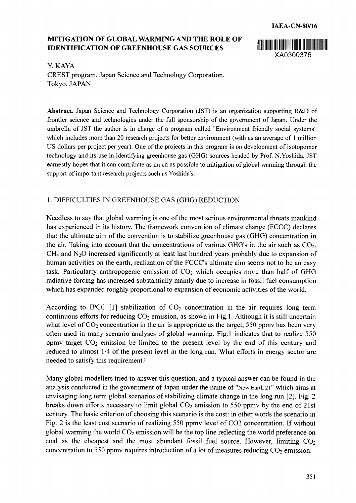## **MITIGATION OF GLOBAL WARMING AND THE ROLE OF** ~uni **IDENTIFICATION OF GREENHOUSE GAS SOURCES**



Y. KAYA CREST program, Japan Science and Technology Corporation, Tokyo, JAPAN

**Abstract.** Japan Science and Technology Corporation (JST) is an organization supporting R&D of frontier science and technologies under the full sponsorship of the government of Japan. Under the umbrella of JST the author is in charge of a program called "Environment friendly social systems" which includes more than 20 research projects for better environment (with as an average of 1 million US dollars per project per year). One of the projects in this program is on development of isotopomer technology and its use in identifying greenhouse gas (GHG) sources headed by Prof. N.Yoshida. JST earnestly hopes that it can contribute as much as possible to mitigation of global warming through the support of important research projects such as Yoshida's.

## 1. DIFFICULTIES IN GREENHOUSE GAS (GHG) REDUCTION

Needless to say that global warming is one of the most serious environmental threats mankind has experienced in its history. The framework convention of climate change (FCCC) declares that the ultimate aim of the convention is to stabilize greenhouse gas (GHG) concentration in the air. Taking into account that the concentrations of various GHG's in the air such as  $CO<sub>2</sub>$ ,  $CH<sub>4</sub>$  and N<sub>2</sub>O increased significantly at least last hundred years probably due to expansion of human activities on the earth, realization of the FCCC's ultimate aim seems not to be an easy task. Particularly anthropogenic emission of  $CO<sub>2</sub>$  which occupies more than half of GHG radiative forcing has increased substantially mainly due to increase in fossil fuel consumption which has expanded roughly proportional to expansion of economic activities of the world.

According to IPCC [1] stabilization of  $CO<sub>2</sub>$  concentration in the air requires long term continuous efforts for reducing  $CO<sub>2</sub>$  emission, as shown in Fig. 1. Although it is still uncertain what level of  $CO<sub>2</sub>$  concentration in the air is appropriate as the target, 550 ppmv has been very often used in many scenario analyses of global warming. Fig. 1 indicates that to realize *550* ppmv target  $CO<sub>2</sub>$  emission be limited to the present level by the end of this century and reduced to almost 1/4 of the present level in the long run. What efforts in energy sector are needed to satisfy this requirement?

Many global modellers tried to answer this question, and a typical answer can be found in the analysis conducted in the government of Japan under the name of "New Earth 21" which aims at envisaging long term global scenarios of stabilizing climate change in the long run [2]. Fig. 2 breaks down efforts necessary to limit global  $CO<sub>2</sub>$  emission to 550 ppmv by the end of 21st century. The basic criterion of choosing this scenario is the cost: in other words the scenario in Fig. 2 is the least cost scenario of realizing *550* ppmv level of C02 concentration. If without global warming the world  $CO<sub>2</sub>$  emission will be the top line reflecting the world preference on coal as the cheapest and the most abundant fossil fuel source. However, limiting  $CO<sub>2</sub>$ concentration to 550 ppmv requires introduction of a lot of measures reducing  $CO<sub>2</sub>$  emission.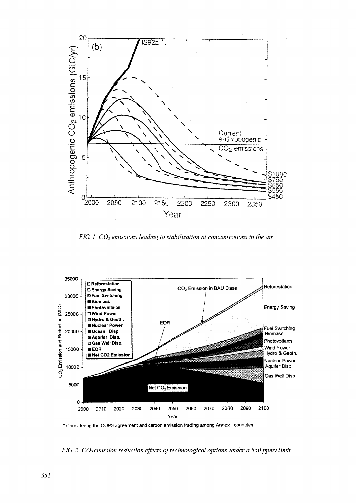

FIG 1.  $CO<sub>2</sub>$  emissions leading to stabilization at concentrations in the air.



\* Considering the COP3 agreement and carbon emission trading among Annex I countries

*FIG 2. CO*<sub>2</sub> emission reduction effects of technological options under a 550 ppmv limit.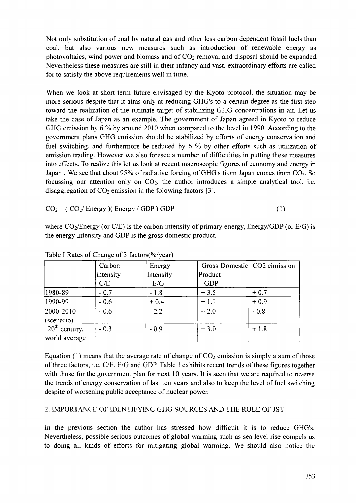Not only substitution of coal by natural gas and other less carbon dependent fossil fuels than coal, but also various new measures such as introduction of renewable energy as photovoltaics, wind power and biomass and of  $CO<sub>2</sub>$  removal and disposal should be expanded. Nevertheless these measures are still in their infancy and vast, extraordinary efforts are called for to satisfy the above requirements well in time.

When we look at short term future envisaged by the Kyoto protocol, the situation may be more serious despite that it aims only at reducing GHG's to a certain degree as the first step toward the realization of the ultimate target of stabilizing GHG concentrations in air. Let us take the case of Japan as an example. The government of Japan agreed in Kyoto to reduce GHG emission by 6 % by around 2010 when compared to the level in 1990. According to the government plans GHG emission should be stabilized by efforts of energy conservation and fuel switching, and furthermore be reduced by 6 % by other efforts such as utilization of emission trading. However we also foresee a number of difficulties in putting these measures into effects. To realize this let us look at recent macroscopic figures of economy and energy in Japan . We see that about 95% of radiative forcing of GHG's from Japan comes from  $CO<sub>2</sub>$ . So focussing our attention only on  $CO<sub>2</sub>$ , the author introduces a simple analytical tool, i.e. disaggregation of  $CO<sub>2</sub>$  emission in the folowing factors [3].

 $CO<sub>2</sub> = (CO<sub>2</sub>/Energy) (Energy / GDP) GDP$  (1)

where  $CO_2/Energy$  (or  $C/E$ ) is the carbon intensity of primary energy, Energy/GDP (or  $E/G$ ) is the energy intensity and GDP is the gross domestic product.

|                 | Carbon    |           | Gross Domestic CO2 eimission |        |
|-----------------|-----------|-----------|------------------------------|--------|
|                 |           | Energy    |                              |        |
|                 | intensity | Intensity | Product                      |        |
|                 | C/E       | E/G       | <b>GDP</b>                   |        |
| 1980-89         | $-0.7$    | $-1.8$    | $+3.5$                       | $+0.7$ |
| 1990-99         | $-0.6$    | $+0.4$    | $+1.1$                       | $+0.9$ |
| 2000-2010       | $-0.6$    | $-2.2$    | $+2.0$                       | $-0.8$ |
| $ $ (scenario)  |           |           |                              |        |
| $20th$ century, | $-0.3$    | $-0.9$    | $+3.0$                       | $+1.8$ |
| world average   |           |           |                              |        |

Table I Rates of Change of 3 factors(%/year)

Equation (1) means that the average rate of change of  $CO<sub>2</sub>$  emission is simply a sum of those of three factors, i.e. C/E, E/G and GDP. Table I exhibits recent trends of these figures together with those for the government plan for next 10 years. It is seen that we are required to reverse the trends of energy conservation of last ten years and also to keep the level of fuel switching despite of worsening public acceptance of nuclear power.

## 2. IMPORTANCE OF IDENTIFYING GHG SOURCES AND THE ROLE OF JST

In the previous section the author has stressed how difficult it is to reduce GHG's. Nevertheless, possible serious outcomes of global warming such as sea level rise compels us to doing all kinds of efforts for mitigating global warming. We should also notice the